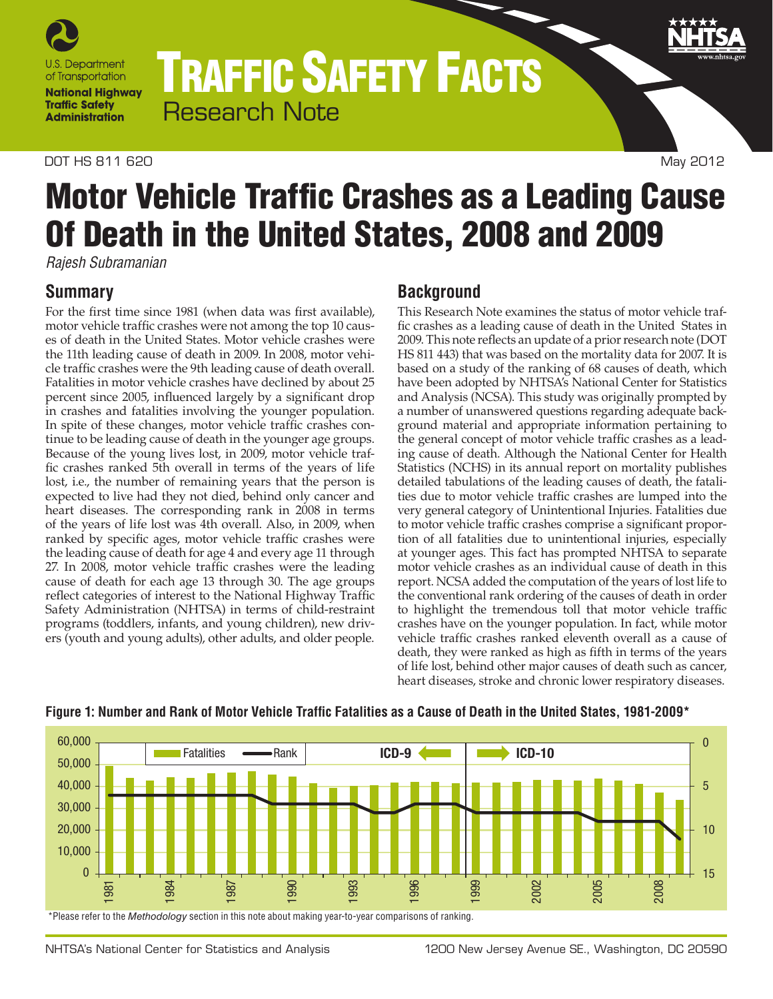

TRAFFIC SAFETY FACTS Research Note

#### DOT HS 811 620 May 2012

# Motor Vehicle Traffic Crashes as a Leading Cause Of Death in the United States, 2008 and 2009

*Rajesh Subramanian*

### **Summary**

For the first time since 1981 (when data was first available), motor vehicle traffic crashes were not among the top 10 causes of death in the United States. Motor vehicle crashes were the 11th leading cause of death in 2009. In 2008, motor vehicle traffic crashes were the 9th leading cause of death overall. Fatalities in motor vehicle crashes have declined by about 25 percent since 2005, influenced largely by a significant drop in crashes and fatalities involving the younger population. In spite of these changes, motor vehicle traffic crashes continue to be leading cause of death in the younger age groups. Because of the young lives lost, in 2009, motor vehicle traffic crashes ranked 5th overall in terms of the years of life lost, i.e., the number of remaining years that the person is expected to live had they not died, behind only cancer and heart diseases. The corresponding rank in 2008 in terms of the years of life lost was 4th overall. Also, in 2009, when ranked by specific ages, motor vehicle traffic crashes were the leading cause of death for age 4 and every age 11 through 27. In 2008, motor vehicle traffic crashes were the leading cause of death for each age 13 through 30. The age groups reflect categories of interest to the National Highway Traffic Safety Administration (NHTSA) in terms of child-restraint programs (toddlers, infants, and young children), new drivers (youth and young adults), other adults, and older people.

## **Background**

This Research Note examines the status of motor vehicle traffic crashes as a leading cause of death in the United States in 2009. This note reflects an update of a prior research note (DOT HS 811 443) that was based on the mortality data for 2007. It is based on a study of the ranking of 68 causes of death, which have been adopted by NHTSA's National Center for Statistics and Analysis (NCSA). This study was originally prompted by a number of unanswered questions regarding adequate background material and appropriate information pertaining to the general concept of motor vehicle traffic crashes as a leading cause of death. Although the National Center for Health Statistics (NCHS) in its annual report on mortality publishes detailed tabulations of the leading causes of death, the fatalities due to motor vehicle traffic crashes are lumped into the very general category of Unintentional Injuries. Fatalities due to motor vehicle traffic crashes comprise a significant proportion of all fatalities due to unintentional injuries, especially at younger ages. This fact has prompted NHTSA to separate motor vehicle crashes as an individual cause of death in this report. NCSA added the computation of the years of lost life to the conventional rank ordering of the causes of death in order to highlight the tremendous toll that motor vehicle traffic crashes have on the younger population. In fact, while motor vehicle traffic crashes ranked eleventh overall as a cause of death, they were ranked as high as fifth in terms of the years of life lost, behind other major causes of death such as cancer, heart diseases, stroke and chronic lower respiratory diseases.



#### **Figure 1: Number and Rank of Motor Vehicle Traffic Fatalities as a Cause of Death in the United States, 1981-2009\***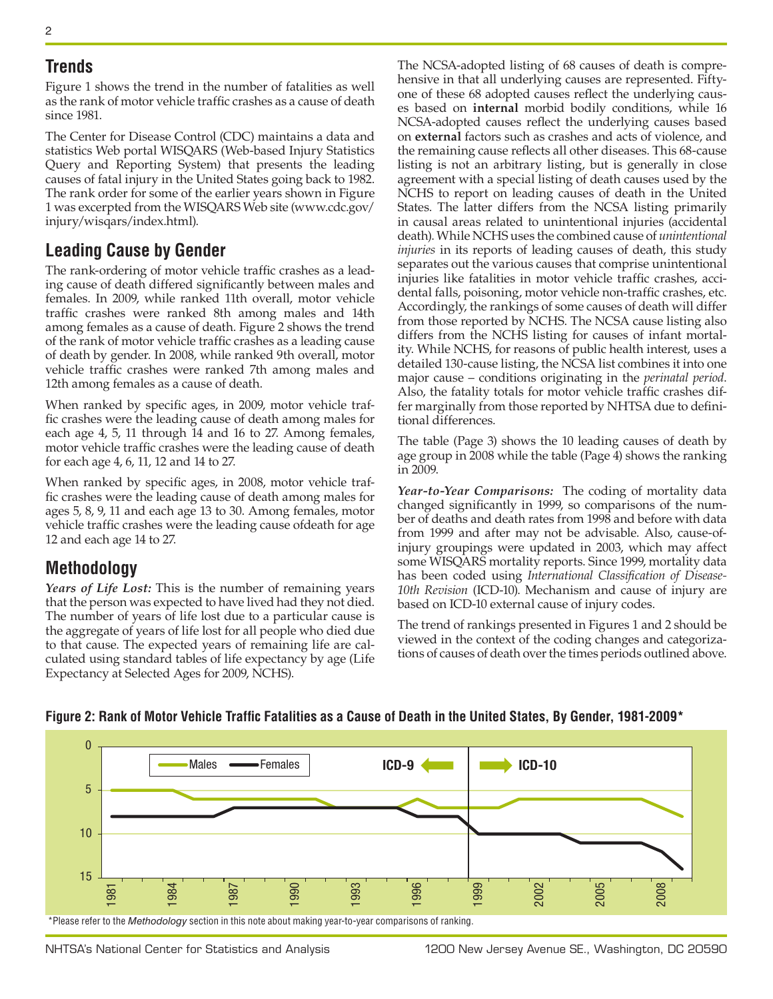#### **Trends**

Figure 1 shows the trend in the number of fatalities as well as the rank of motor vehicle traffic crashes as a cause of death since 1981.

The Center for Disease Control (CDC) maintains a data and statistics Web portal WISQARS (Web-based Injury Statistics Query and Reporting System) that presents the leading causes of fatal injury in the United States going back to 1982. The rank order for some of the earlier years shown in Figure 1 was excerpted from the WISQARS Web site [\(www.cdc.gov/](http://www.cdc.gov/injury/wisqars/index.html) [injury/wisqars/index.html](http://www.cdc.gov/injury/wisqars/index.html)).

## **Leading Cause by Gender**

The rank-ordering of motor vehicle traffic crashes as a leading cause of death differed significantly between males and females. In 2009, while ranked 11th overall, motor vehicle traffic crashes were ranked 8th among males and 14th among females as a cause of death. Figure 2 shows the trend of the rank of motor vehicle traffic crashes as a leading cause of death by gender. In 2008, while ranked 9th overall, motor vehicle traffic crashes were ranked 7th among males and 12th among females as a cause of death.

When ranked by specific ages, in 2009, motor vehicle traffic crashes were the leading cause of death among males for each age 4, 5, 11 through 14 and 16 to 27. Among females, motor vehicle traffic crashes were the leading cause of death for each age 4, 6, 11, 12 and 14 to 27.

When ranked by specific ages, in 2008, motor vehicle traffic crashes were the leading cause of death among males for ages 5, 8, 9, 11 and each age 13 to 30. Among females, motor vehicle traffic crashes were the leading cause ofdeath for age 12 and each age 14 to 27.

## **Methodology**

*Years of Life Lost:* This is the number of remaining years that the person was expected to have lived had they not died. The number of years of life lost due to a particular cause is the aggregate of years of life lost for all people who died due to that cause. The expected years of remaining life are calculated using standard tables of life expectancy by age (Life Expectancy at Selected Ages for 2009, NCHS).

The NCSA-adopted listing of 68 causes of death is comprehensive in that all underlying causes are represented. Fiftyone of these 68 adopted causes reflect the underlying causes based on **internal** morbid bodily conditions, while 16 NCSA-adopted causes reflect the underlying causes based on **external** factors such as crashes and acts of violence, and the remaining cause reflects all other diseases. This 68-cause listing is not an arbitrary listing, but is generally in close agreement with a special listing of death causes used by the NCHS to report on leading causes of death in the United States. The latter differs from the NCSA listing primarily in causal areas related to unintentional injuries (accidental death). While NCHS uses the combined cause of *unintentional injuries* in its reports of leading causes of death, this study separates out the various causes that comprise unintentional injuries like fatalities in motor vehicle traffic crashes, accidental falls, poisoning, motor vehicle non-traffic crashes, etc. Accordingly, the rankings of some causes of death will differ from those reported by NCHS. The NCSA cause listing also differs from the NCHS listing for causes of infant mortality. While NCHS, for reasons of public health interest, uses a detailed 130-cause listing, the NCSA list combines it into one major cause – conditions originating in the *perinatal period*. Also, the fatality totals for motor vehicle traffic crashes differ marginally from those reported by NHTSA due to definitional differences.

The table (Page 3) shows the 10 leading causes of death by age group in 2008 while the table (Page 4) shows the ranking in 2009.

*Year-to-Year Comparisons:* The coding of mortality data changed significantly in 1999, so comparisons of the number of deaths and death rates from 1998 and before with data from 1999 and after may not be advisable. Also, cause-ofinjury groupings were updated in 2003, which may affect some WISQARS mortality reports. Since 1999, mortality data has been coded using *International Classification of Disease-10th Revision* (ICD-10). Mechanism and cause of injury are based on ICD-10 external cause of injury codes.

The trend of rankings presented in Figures 1 and 2 should be viewed in the context of the coding changes and categorizations of causes of death over the times periods outlined above.



#### **Figure 2: Rank of Motor Vehicle Traffic Fatalities as a Cause of Death in the United States, By Gender, 1981-2009\***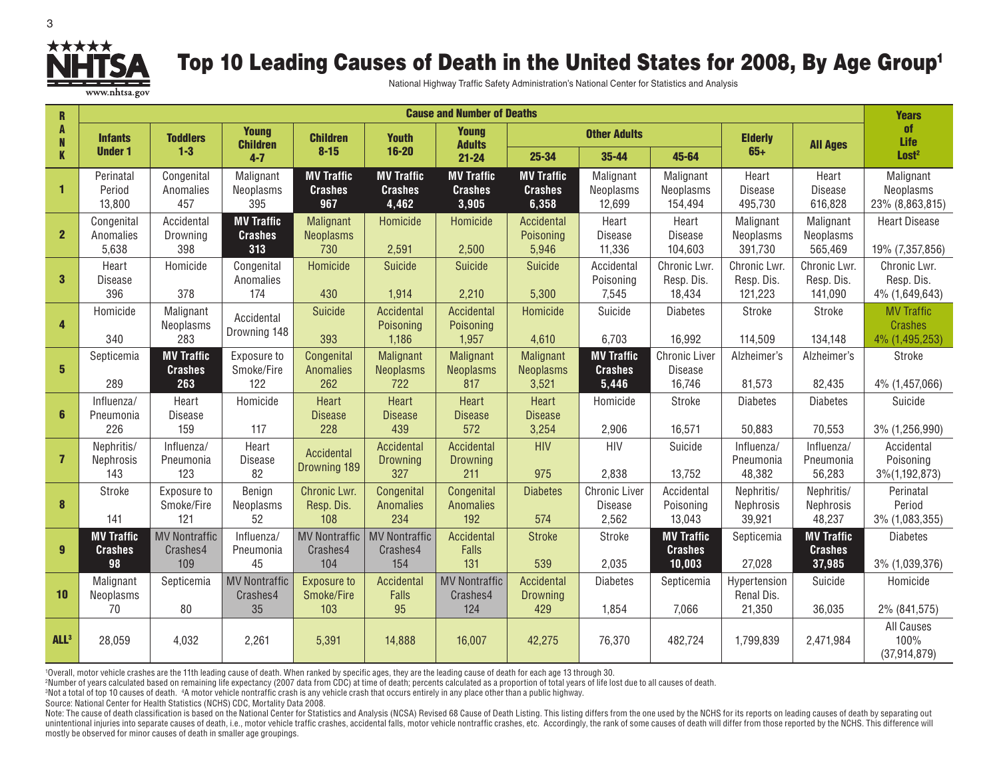

## Top 10 Leading Causes of Death in the United States for 2008, By Age Group<sup>1</sup>

National Highway Traffic Safety Administration's National Center for Statistics and Analysis

| R                         | <b>Cause and Number of Deaths</b> |                         |                                 |                                     |                                     |                                     |                                     |                          |                           |                            | <b>Years</b>             |                                  |
|---------------------------|-----------------------------------|-------------------------|---------------------------------|-------------------------------------|-------------------------------------|-------------------------------------|-------------------------------------|--------------------------|---------------------------|----------------------------|--------------------------|----------------------------------|
| A<br>N                    | <b>Infants</b>                    | <b>Toddlers</b>         | <b>Young</b><br><b>Children</b> | <b>Children</b>                     | <b>Youth</b>                        | <b>Young</b><br><b>Adults</b>       | <b>Other Adults</b>                 |                          |                           | <b>Elderly</b>             | <b>All Ages</b>          | <b>of</b><br>Life                |
| $\boldsymbol{\mathsf{K}}$ | <b>Under 1</b>                    | $1 - 3$                 | $4 - 7$                         | $8 - 15$                            | $16 - 20$                           | $21 - 24$                           | 25-34                               | 35-44                    | 45-64                     | $65+$                      |                          | Lost <sup>2</sup>                |
| $\mathbf{1}$              | Perinatal<br>Period               | Congenital<br>Anomalies | Malignant<br>Neoplasms          | <b>MV Traffic</b><br><b>Crashes</b> | <b>MV Traffic</b><br><b>Crashes</b> | <b>MV Traffic</b><br><b>Crashes</b> | <b>MV Traffic</b><br><b>Crashes</b> | Malignant<br>Neoplasms   | Malignant<br>Neoplasms    | Heart<br><b>Disease</b>    | Heart<br><b>Disease</b>  | Malignant<br>Neoplasms           |
|                           | 13,800                            | 457                     | 395                             | 967                                 | 4,462                               | 3,905                               | 6,358                               | 12,699                   | 154,494                   | 495,730                    | 616,828                  | 23% (8,863,815)                  |
| $\overline{2}$            | Congenital                        | Accidental              | <b>MV Traffic</b>               | Malignant                           | Homicide                            | Homicide                            | Accidental                          | Heart                    | Heart                     | Malignant                  | Malignant                | <b>Heart Disease</b>             |
|                           | Anomalies<br>5,638                | Drowning<br>398         | <b>Crashes</b><br>313           | <b>Neoplasms</b><br>730             | 2,591                               | 2,500                               | Poisoning<br>5,946                  | <b>Disease</b><br>11,336 | <b>Disease</b><br>104,603 | Neoplasms<br>391,730       | Neoplasms<br>565,469     | 19% (7,357,856)                  |
|                           | Heart                             | Homicide                | Congenital                      | Homicide                            | <b>Suicide</b>                      | <b>Suicide</b>                      | Suicide                             | Accidental               | Chronic Lwr.              | Chronic Lwr.               | Chronic Lwr.             | Chronic Lwr.                     |
| $\mathbf{3}$              | Disease<br>396                    | 378                     | Anomalies<br>174                | 430                                 | 1,914                               | 2,210                               | 5,300                               | Poisoning<br>7,545       | Resp. Dis.<br>18,434      | Resp. Dis.<br>121,223      | Resp. Dis.<br>141,090    | Resp. Dis.<br>4% (1,649,643)     |
|                           | Homicide                          | Malignant               | Accidental                      | Suicide                             | Accidental                          | Accidental                          | Homicide                            | Suicide                  | <b>Diabetes</b>           | Stroke                     | Stroke                   | <b>MV Traffic</b>                |
| $\overline{\mathbf{4}}$   | 340                               | Neoplasms<br>283        | Drowning 148                    | 393                                 | Poisoning<br>1,186                  | Poisoning<br>1,957                  | 4,610                               | 6,703                    | 16,992                    | 114,509                    | 134,148                  | <b>Crashes</b><br>4% (1,495,253) |
| $5\phantom{a}$            | Septicemia                        | <b>MV Traffic</b>       | Exposure to<br>Smoke/Fire       | Congenital                          | Malignant                           | Malignant                           | Malignant                           | <b>MV Traffic</b>        | <b>Chronic Liver</b>      | Alzheimer's                | Alzheimer's              | Stroke                           |
|                           | 289                               | <b>Crashes</b><br>263   | 122                             | <b>Anomalies</b><br>262             | <b>Neoplasms</b><br>722             | <b>Neoplasms</b><br>817             | <b>Neoplasms</b><br>3,521           | <b>Crashes</b><br>5,446  | <b>Disease</b><br>16,746  | 81,573                     | 82,435                   | 4% (1,457,066)                   |
|                           | Influenza/                        | Heart                   | Homicide                        | Heart                               | Heart                               | Heart                               | Heart                               | Homicide                 | Stroke                    | <b>Diabetes</b>            | <b>Diabetes</b>          | Suicide                          |
| 6                         | Pneumonia<br>226                  | Disease<br>159          | 117                             | <b>Disease</b><br>228               | <b>Disease</b><br>439               | <b>Disease</b><br>572               | <b>Disease</b><br>3,254             | 2,906                    | 16,571                    | 50,883                     | 70,553                   | 3% (1,256,990)                   |
|                           | Nephritis/                        | Influenza/              | Heart                           | Accidental                          | Accidental                          | Accidental                          | <b>HIV</b>                          | <b>HIV</b>               | Suicide                   | Influenza/                 | Influenza/               | Accidental                       |
| $\overline{7}$            | Nephrosis<br>143                  | Pneumonia<br>123        | <b>Disease</b><br>82            | Drowning 189                        | Drowning<br>327                     | Drowning<br>211                     | 975                                 | 2,838                    | 13,752                    | Pneumonia<br>48,382        | Pneumonia<br>56,283      | Poisoning<br>3%(1,192,873)       |
|                           | Stroke                            | Exposure to             | Benign                          | Chronic Lwr.                        | Congenital                          | Congenital                          | <b>Diabetes</b>                     | <b>Chronic Liver</b>     | Accidental                | Nephritis/                 | Nephritis/               | Perinatal                        |
| $\boldsymbol{8}$          | 141                               | Smoke/Fire<br>121       | Neoplasms<br>52                 | Resp. Dis.<br>108                   | Anomalies<br>234                    | <b>Anomalies</b><br>192             | 574                                 | Disease<br>2,562         | Poisoning<br>13,043       | <b>Nephrosis</b><br>39,921 | Nephrosis<br>48,237      | Period<br>3% (1,083,355)         |
|                           | <b>MV Traffic</b>                 | <b>MV Nontraffic</b>    | Influenza/                      | <b>MV Nontraffic</b>                | <b>MV Nontraffic</b>                | Accidental                          | <b>Stroke</b>                       | Stroke                   | <b>MV Traffic</b>         | Septicemia                 | <b>MV Traffic</b>        | <b>Diabetes</b>                  |
| $\overline{9}$            | <b>Crashes</b><br>98              | Crashes4<br>109         | Pneumonia<br>45                 | Crashes4<br>104                     | Crashes4<br>154                     | <b>Falls</b><br>131                 | 539                                 | 2,035                    | <b>Crashes</b><br>10,003  | 27,028                     | <b>Crashes</b><br>37,985 | 3% (1,039,376)                   |
|                           | Malignant                         | Septicemia              | <b>MV Nontraffic</b>            | <b>Exposure to</b>                  | Accidental                          | <b>MV Nontraffic</b>                | Accidental                          | <b>Diabetes</b>          | Septicemia                | Hypertension               | Suicide                  | Homicide                         |
| 10                        | Neoplasms<br>70                   | 80                      | Crashes4<br>35                  | Smoke/Fire<br>103                   | Falls<br>95                         | Crashes4<br>124                     | <b>Drowning</b><br>429              | 1,854                    | 7,066                     | Renal Dis.<br>21,350       | 36,035                   | 2% (841,575)                     |
|                           |                                   |                         |                                 |                                     |                                     |                                     |                                     |                          |                           |                            |                          | All Causes                       |
| ALL <sup>3</sup>          | 28,059                            | 4,032                   | 2,261                           | 5,391                               | 14,888                              | 16,007                              | 42,275                              | 76,370                   | 482,724                   | 1,799,839                  | 2,471,984                | 100%                             |

1Overall, motor vehicle crashes are the 11th leading cause of death. When ranked by specific ages, they are the leading cause of death for each age 13 through 30.

2Number of years calculated based on remaining life expectancy (2007 data from CDC) at time of death; percents calculated as a proportion of total years of life lost due to all causes of death.

3Not a total of top 10 causes of death. 4A motor vehicle nontraffic crash is any vehicle crash that occurs entirely in any place other than a public highway.

Source: National Center for Health Statistics (NCHS) CDC, Mortality Data 2008.

Note: The cause of death classification is based on the National Center for Statistics and Analysis (NCSA) Revised 68 Cause of Death Listing. This listing differs from the one used by the NCHS for its reports on leading ca unintentional injuries into separate causes of death, i.e., motor vehicle traffic crashes, accidental falls, motor vehicle nontraffic crashes, etc. Accordingly, the rank of some causes of death will differ from those repor mostly be observed for minor causes of death in smaller age groupings.